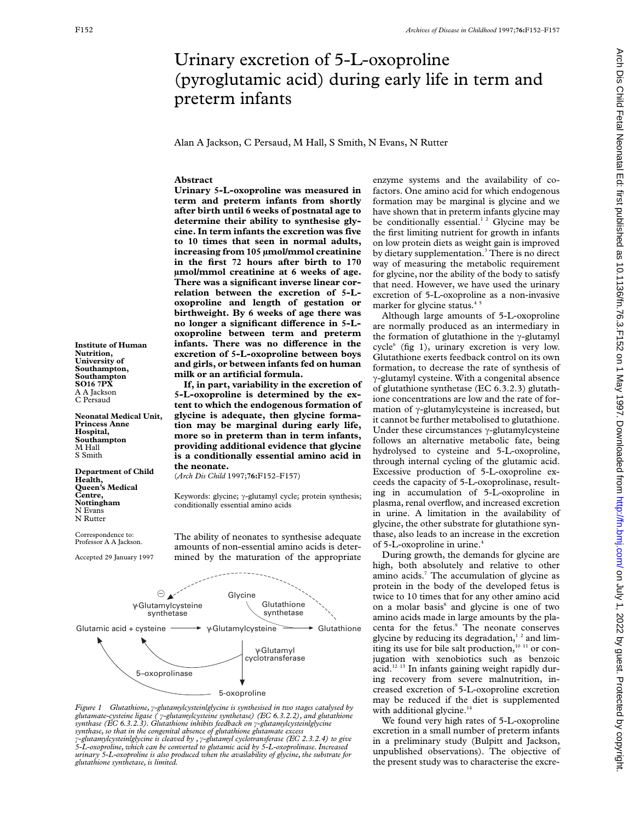# Urinary excretion of 5-L-oxoproline (pyroglutamic acid) during early life in term and preterm infants

Alan A Jackson, C Persaud, M Hall, S Smith, N Evans, N Rutter

## **Abstract**

**Urinary 5-L-oxoproline was measured in term and preterm infants from shortly after birth until 6 weeks of postnatal age to determine their ability to synthesise glycine. In term infants the excretion was five to 10 times that seen in normal adults, increasing from 105 µmol/mmol creatinine in the first 72 hours after birth to 170 µmol/mmol creatinine at 6 weeks of age. There was a significant inverse linear correlation between the excretion of 5-Loxoproline and length of gestation or birthweight. By 6 weeks of age there was** no longer a significant difference in 5-L**oxoproline between term and preterm infants.** There was no difference in the **excretion of 5-L-oxoproline between boys and girls, or between infants fed on human milk or an artificial formula.**

**If, in part, variability in the excretion of 5-L-oxoproline is determined by the extent to which the endogenous formation of glycine is adequate, then glycine formation may be marginal during early life, more so in preterm than in term infants, providing additional evidence that glycine is a conditionally essential amino acid in the neonate.**

(*Arch Dis Child* 1997;**76:**F152–F157)

Keywords: glycine;  $\gamma$ -glutamyl cycle; protein synthesis; conditionally essential amino acids

The ability of neonates to synthesise adequate amounts of non-essential amino acids is determined by the maturation of the appropriate



*Figure 1* Glutathione,  $\gamma$ -glutamylcysteinlglycine is synthesised in two stages catalysed by *glutamate-cysteine ligase (* ã*-glutamylcysteine synthetase) (EC 6.3.2.2), and glutathione*  $\bar{s}$ ynthase (EC 6.3.2.3). Glutathione inhibits feedback on  $\gamma$ -glutamylcysteinlglycine<br>synthase, so that in the congenital absence of glutathione glutamate excess  $\hat{g}$ -glutamylcysteinlglycine is cleaved by ,  $\hat{g}$ -glutamyl cyclotransferase (EC 2.3.2.4) to give<br>5-L-oxoproline, which can be converted to glutamic acid by 5-L-oxoprolinase. Increased *urinary 5-L-oxoproline is also produced when the availability of glycine, the substrate for glutathione synthetase, is limited.*

enzyme systems and the availability of cofactors. One amino acid for which endogenous formation may be marginal is glycine and we have shown that in preterm infants glycine may be conditionally essential.<sup>12</sup> Glycine may be the first limiting nutrient for growth in infants on low protein diets as weight gain is improved by dietary supplementation.<sup>3</sup> There is no direct way of measuring the metabolic requirement for glycine, nor the ability of the body to satisfy that need. However, we have used the urinary excretion of 5-L-oxoproline as a non-invasive marker for glycine status.<sup>45</sup>

Although large amounts of 5-L-oxoproline are normally produced as an intermediary in the formation of glutathione in the  $\gamma$ -glutamyl  $cycle<sup>6</sup>$  (fig 1), urinary excretion is very low. Glutathione exerts feedback control on its own formation, to decrease the rate of synthesis of ã-glutamyl cysteine. With a congenital absence of glutathione synthetase (EC 6.3.2.3) glutathione concentrations are low and the rate of formation of  $\gamma$ -glutamylcysteine is increased, but it cannot be further metabolised to glutathione. Under these circumstances  $\gamma$ -glutamylcysteine follows an alternative metabolic fate, being hydrolysed to cysteine and 5-L-oxoproline, through internal cycling of the glutamic acid. Excessive production of 5-L-oxoproline exceeds the capacity of 5-L-oxoprolinase, resulting in accumulation of 5-L-oxoproline in plasma, renal overflow, and increased excretion in urine. A limitation in the availability of glycine, the other substrate for glutathione synthase, also leads to an increase in the excretion of 5-L-oxoproline in urine.<sup>4</sup>

During growth, the demands for glycine are high, both absolutely and relative to other amino acids.<sup>7</sup> The accumulation of glycine as protein in the body of the developed fetus is twice to 10 times that for any other amino acid on a molar basis<sup>8</sup> and glycine is one of two amino acids made in large amounts by the placenta for the fetus.<sup>9</sup> The neonate conserves glycine by reducing its degradation,<sup>12</sup> and limiting its use for bile salt production, $10^{-11}$  or conjugation with xenobiotics such as benzoic acid.<sup>12 13</sup> In infants gaining weight rapidly during recovery from severe malnutrition, increased excretion of 5-L-oxoproline excretion may be reduced if the diet is supplemented with additional glycine.<sup>14</sup>

We found very high rates of 5-L-oxoproline excretion in a small number of preterm infants in a preliminary study (Bulpitt and Jackson, unpublished observations). The objective of the present study was to characterise the excre-

**Institute of Human Nutrition, University of Southampton, Southampton SO16 7PX** A A Jackson C Persaud

**Neonatal Medical Unit, Princess Anne Hospital, Southampton** M Hall S Smith

**Department of Child Health, Queen's Medical Centre, Nottingham** N Evans N Rutter

Correspondence to: Professor A A Jackson.

Accepted 29 January 1997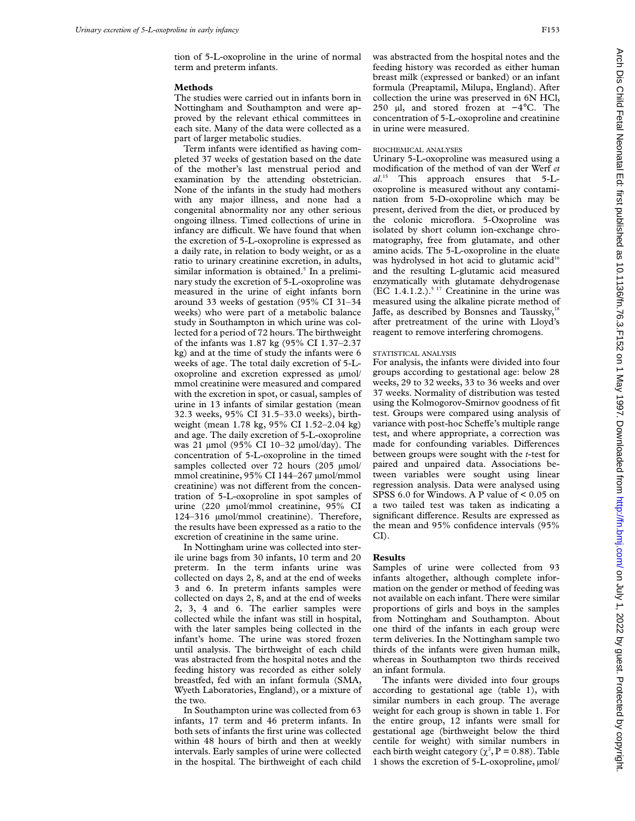tion of 5-L-oxoproline in the urine of normal term and preterm infants.

#### **Methods**

The studies were carried out in infants born in Nottingham and Southampton and were approved by the relevant ethical committees in each site. Many of the data were collected as a part of larger metabolic studies.

Term infants were identified as having completed 37 weeks of gestation based on the date of the mother's last menstrual period and examination by the attending obstetrician. None of the infants in the study had mothers with any major illness, and none had a congenital abnormality nor any other serious ongoing illness. Timed collections of urine in infancy are difficult. We have found that when the excretion of 5-L-oxoproline is expressed as a daily rate, in relation to body weight, or as a ratio to urinary creatinine excretion, in adults, similar information is obtained.<sup>5</sup> In a preliminary study the excretion of 5-L-oxoproline was measured in the urine of eight infants born around 33 weeks of gestation (95% CI 31–34 weeks) who were part of a metabolic balance study in Southampton in which urine was collected for a period of 72 hours. The birthweight of the infants was 1.87 kg (95% CI 1.37–2.37 kg) and at the time of study the infants were 6 weeks of age. The total daily excretion of 5-Loxoproline and excretion expressed as µmol/ mmol creatinine were measured and compared with the excretion in spot, or casual, samples of urine in 13 infants of similar gestation (mean 32.3 weeks, 95% CI 31.5–33.0 weeks), birthweight (mean 1.78 kg, 95% CI 1.52–2.04 kg) and age. The daily excretion of 5-L-oxoproline was 21 µmol (95% CI 10–32 µmol/day). The concentration of 5-L-oxoproline in the timed samples collected over 72 hours (205 µmol/ mmol creatinine, 95% CI 144-267 µmol/mmol creatinine) was not different from the concentration of 5-L-oxoproline in spot samples of urine (220 µmol/mmol creatinine, 95% CI 124–316 µmol/mmol creatinine). Therefore, the results have been expressed as a ratio to the excretion of creatinine in the same urine.

In Nottingham urine was collected into sterile urine bags from 30 infants, 10 term and 20 preterm. In the term infants urine was collected on days 2, 8, and at the end of weeks 3 and 6. In preterm infants samples were collected on days 2, 8, and at the end of weeks 2, 3, 4 and 6. The earlier samples were collected while the infant was still in hospital, with the later samples being collected in the infant's home. The urine was stored frozen until analysis. The birthweight of each child was abstracted from the hospital notes and the feeding history was recorded as either solely breastfed, fed with an infant formula (SMA, Wyeth Laboratories, England), or a mixture of the two.

In Southampton urine was collected from 63 infants, 17 term and 46 preterm infants. In both sets of infants the first urine was collected within 48 hours of birth and then at weekly intervals. Early samples of urine were collected in the hospital. The birthweight of each child was abstracted from the hospital notes and the feeding history was recorded as either human breast milk (expressed or banked) or an infant formula (Preaptamil, Milupa, England). After collection the urine was preserved in 6N HCl, 250 µl, and stored frozen at −4°C. The concentration of 5-L-oxoproline and creatinine in urine were measured.

#### BIOCHEMICAL ANALYSES

Urinary 5-L-oxoproline was measured using a modification of the method of van der Werf *et al*. <sup>15</sup> This approach ensures that 5-Loxoproline is measured without any contamination from 5-D-oxoproline which may be present, derived from the diet, or produced by the colonic microflora. 5-Oxoproline was isolated by short column ion-exchange chromatography, free from glutamate, and other amino acids. The 5-L-oxoproline in the eluate was hydrolysed in hot acid to glutamic acid<sup>16</sup> and the resulting L-glutamic acid measured enzymatically with glutamate dehydrogenase  $(EC 1.4.1.2.)$ <sup>5 17</sup> Creatinine in the urine was measured using the alkaline picrate method of Jaffe, as described by Bonsnes and Taussky, $18$ after pretreatment of the urine with Lloyd's reagent to remove interfering chromogens.

### STATISTICAL ANALYSIS

For analysis, the infants were divided into four groups according to gestational age: below 28 weeks, 29 to 32 weeks, 33 to 36 weeks and over 37 weeks. Normality of distribution was tested using the Kolmogorov-Smirnov goodness of fit test. Groups were compared using analysis of variance with post-hoc Scheffe's multiple range test, and where appropriate, a correction was made for confounding variables. Differences between groups were sought with the *t*-test for paired and unpaired data. Associations between variables were sought using linear regression analysis. Data were analysed using SPSS 6.0 for Windows. A P value of < 0.05 on a two tailed test was taken as indicating a significant difference. Results are expressed as the mean and 95% confidence intervals (95% CI).

## **Results**

Samples of urine were collected from 93 infants altogether, although complete information on the gender or method of feeding was not available on each infant. There were similar proportions of girls and boys in the samples from Nottingham and Southampton. About one third of the infants in each group were term deliveries. In the Nottingham sample two thirds of the infants were given human milk, whereas in Southampton two thirds received an infant formula.

The infants were divided into four groups according to gestational age (table 1), with similar numbers in each group. The average weight for each group is shown in table 1. For the entire group, 12 infants were small for gestational age (birthweight below the third centile for weight) with similar numbers in each birth weight category ( $\chi^2$ , P = 0.88). Table 1 shows the excretion of 5-L-oxoproline, µmol/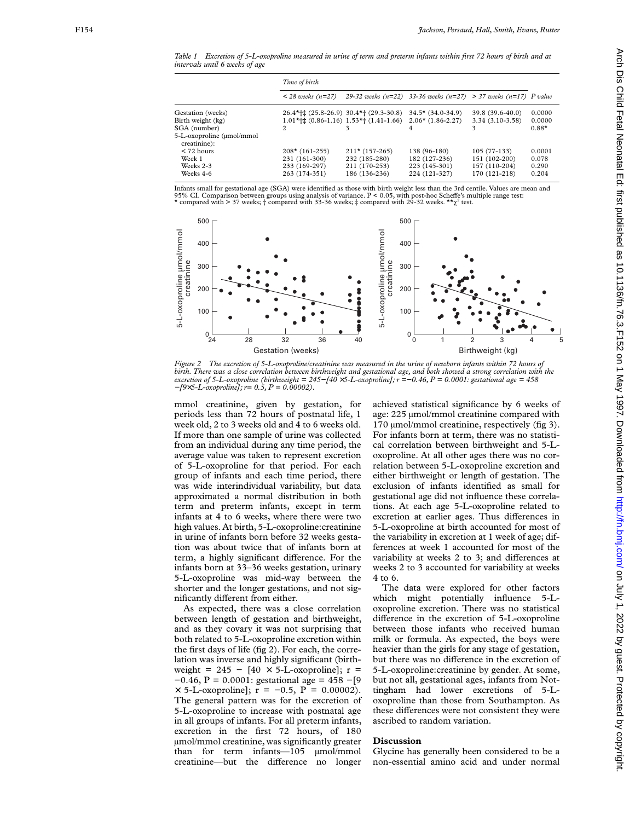*Table 1 Excretion of 5-L-oxoproline measured in urine of term and preterm infants within first 72 hours of birth and at intervals until 6 weeks of age*

|                                                                                                     | Time of birth                                                      |                                                                    |                                                                 |                                                                  |                                   |
|-----------------------------------------------------------------------------------------------------|--------------------------------------------------------------------|--------------------------------------------------------------------|-----------------------------------------------------------------|------------------------------------------------------------------|-----------------------------------|
|                                                                                                     | $<$ 28 weeks (n=27)                                                |                                                                    | 29-32 weeks (n=22) 33-36 weeks (n=27) > 37 weeks (n=17) P value |                                                                  |                                   |
| Gestation (weeks)<br>Birth weight (kg)<br>SGA (number)<br>5-L-oxoproline (umol/mmol<br>creatinine): | $26.4$ *†‡ (25.8–26.9) 30.4*† (29.3–30.8)<br>$\overline{c}$        | $1.01*$ + $(0.86-1.16)$ $1.53*$ + $(1.41-1.66)$                    | $34.5*$ (34.0-34.9)<br>$2.06*(1.86-2.27)$                       | 39.8 (39.6-40.0)<br>$3.34(3.10-3.58)$                            | 0.0000<br>0.0000<br>$0.88*$       |
| $<$ 72 hours<br>Week 1<br>Weeks 2-3<br>Weeks 4-6                                                    | $208*(161-255)$<br>231 (161-300)<br>233 (169-297)<br>263 (174-351) | $211*(157-265)$<br>232 (185-280)<br>211 (170-253)<br>186 (136-236) | 138 (96-180)<br>182 (127-236)<br>223 (145-301)<br>224 (121-327) | $105(77-133)$<br>151 (102-200)<br>157 (110-204)<br>170 (121-218) | 0.0001<br>0.078<br>0.290<br>0.204 |

Infants small for gestational age (SGA) were identified as those with birth weight less than the 3rd centile. Values are mean and<br>95% CI. Comparison between groups using analysis of variance. P < 0.05, with post-hoc Scheff \* compared with > 37 weeks;  $\dagger$  compared with 33-36 weeks;  $\dagger$  compared with 29-32 weeks. \*\* $\chi^2$  test.



*Figure 2 The excretion of 5-L-oxoproline/creatinine was measured in the urine of newborn infants within 72 hours of birth. There was a close correlation between birthweight and gestational age, and both showed a strong correlation with the excretion of 5-L-oxoproline (birthweight = 245−[40* ×*5-L-oxoproline]; r =−0.46, P = 0.0001: gestational age = 458 −[9* ×*5-L-oxoproline]; r= 0.5, P = 0.00002).*

mmol creatinine, given by gestation, for periods less than 72 hours of postnatal life, 1 week old, 2 to 3 weeks old and 4 to 6 weeks old. If more than one sample of urine was collected from an individual during any time period, the average value was taken to represent excretion of 5-L-oxoproline for that period. For each group of infants and each time period, there was wide interindividual variability, but data approximated a normal distribution in both term and preterm infants, except in term infants at 4 to 6 weeks, where there were two high values. At birth, 5-L-oxoproline:creatinine in urine of infants born before 32 weeks gestation was about twice that of infants born at term, a highly significant difference. For the infants born at 33–36 weeks gestation, urinary 5-L-oxoproline was mid-way between the shorter and the longer gestations, and not significantly different from either.

As expected, there was a close correlation between length of gestation and birthweight, and as they covary it was not surprising that both related to 5-L-oxoproline excretion within the first days of life (fig 2). For each, the correlation was inverse and highly significant (birthweight = 245 -  $[40 \times 5$ -L-oxoproline]; r = −0.46, P = 0.0001: gestational age = 458 −[9  $\times$  5-L-oxoproline];  $r = -0.5$ ,  $P = 0.00002$ . The general pattern was for the excretion of 5-L-oxoproline to increase with postnatal age in all groups of infants. For all preterm infants, excretion in the first 72 hours, of 180 µmol/mmol creatinine, was significantly greater than for term infants—105 µmol/mmol creatinine—but the difference no longer

achieved statistical significance by 6 weeks of age: 225 µmol/mmol creatinine compared with 170 umol/mmol creatinine, respectively (fig 3). For infants born at term, there was no statistical correlation between birthweight and 5-Loxoproline. At all other ages there was no correlation between 5-L-oxoproline excretion and either birthweight or length of gestation. The exclusion of infants identified as small for gestational age did not influence these correlations. At each age 5-L-oxoproline related to excretion at earlier ages. Thus differences in 5-L-oxoproline at birth accounted for most of the variability in excretion at 1 week of age; differences at week 1 accounted for most of the variability at weeks 2 to 3; and differences at weeks 2 to 3 accounted for variability at weeks 4 to 6.

The data were explored for other factors which might potentially influence 5-Loxoproline excretion. There was no statistical difference in the excretion of 5-L-oxoproline between those infants who received human milk or formula. As expected, the boys were heavier than the girls for any stage of gestation, but there was no difference in the excretion of 5-L-oxoproline:creatinine by gender. At some, but not all, gestational ages, infants from Nottingham had lower excretions of 5-Loxoproline than those from Southampton. As these differences were not consistent they were ascribed to random variation.

# **Discussion**

Glycine has generally been considered to be a non-essential amino acid and under normal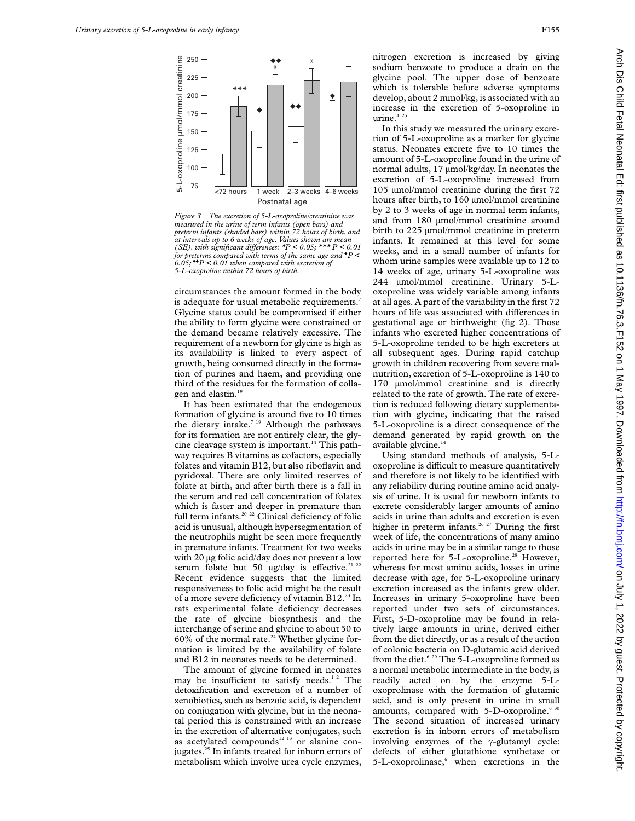

*Figure 3 The excretion of 5-L-oxoproline/creatinine was measured in the urine of term infants (open bars) and preterm infants (shaded bars) within 72 hours of birth. and at intervals up to 6 weeks of age. Values shown are mean (SE). with significant diVerences: \*P < 0.05; \*\*\* P < 0.01 for preterms compared with terms of the same age and* ◆ *P < 0.05;* ◆◆*P < 0.01 when compared with excretion of 5-L-oxoproline within 72 hours of birth.*

circumstances the amount formed in the body is adequate for usual metabolic requirements.<sup>7</sup> Glycine status could be compromised if either the ability to form glycine were constrained or the demand became relatively excessive. The requirement of a newborn for glycine is high as its availability is linked to every aspect of growth, being consumed directly in the formation of purines and haem, and providing one third of the residues for the formation of collagen and elastin.<sup>19</sup>

It has been estimated that the endogenous formation of glycine is around five to 10 times the dietary intake.<sup>7 19</sup> Although the pathways for its formation are not entirely clear, the glycine cleavage system is important.<sup>14</sup> This pathway requires B vitamins as cofactors, especially folates and vitamin B12, but also riboflavin and pyridoxal. There are only limited reserves of folate at birth, and after birth there is a fall in the serum and red cell concentration of folates which is faster and deeper in premature than full term infants.<sup>20-22</sup> Clinical deficiency of folic acid is unusual, although hypersegmentation of the neutrophils might be seen more frequently in premature infants. Treatment for two weeks with 20 µg folic acid/day does not prevent a low serum folate but 50  $\mu$ g/day is effective.<sup>21 22</sup> Recent evidence suggests that the limited responsiveness to folic acid might be the result of a more severe deficiency of vitamin B12.<sup>23</sup> In rats experimental folate deficiency decreases the rate of glycine biosynthesis and the interchange of serine and glycine to about 50 to  $60\%$  of the normal rate.<sup>24</sup> Whether glycine formation is limited by the availability of folate and B12 in neonates needs to be determined.

The amount of glycine formed in neonates may be insufficient to satisfy needs.<sup>12</sup> The detoxification and excretion of a number of xenobiotics, such as benzoic acid, is dependent on conjugation with glycine, but in the neonatal period this is constrained with an increase in the excretion of alternative conjugates, such as acetylated compounds<sup>12 13</sup> or alanine conjugates.<sup>25</sup> In infants treated for inborn errors of metabolism which involve urea cycle enzymes,

nitrogen excretion is increased by giving sodium benzoate to produce a drain on the glycine pool. The upper dose of benzoate which is tolerable before adverse symptoms develop, about 2 mmol/kg, is associated with an increase in the excretion of 5-oxoproline in urine.<sup>4 25</sup>

In this study we measured the urinary excretion of 5-L-oxoproline as a marker for glycine status. Neonates excrete five to 10 times the amount of 5-L-oxoproline found in the urine of normal adults, 17 µmol/kg/day. In neonates the excretion of 5-L-oxoproline increased from 105 µmol/mmol creatinine during the first 72 hours after birth, to 160 µmol/mmol creatinine by 2 to 3 weeks of age in normal term infants, and from 180 µmol/mmol creatinine around birth to 225 µmol/mmol creatinine in preterm infants. It remained at this level for some weeks, and in a small number of infants for whom urine samples were available up to 12 to 14 weeks of age, urinary 5-L-oxoproline was 244 µmol/mmol creatinine. Urinary 5-Loxoproline was widely variable among infants at all ages. A part of the variability in the first 72 hours of life was associated with differences in gestational age or birthweight (fig 2). Those infants who excreted higher concentrations of 5-L-oxoproline tended to be high excreters at all subsequent ages. During rapid catchup growth in children recovering from severe malnutrition, excretion of 5-L-oxoproline is 140 to 170 µmol/mmol creatinine and is directly related to the rate of growth. The rate of excretion is reduced following dietary supplementation with glycine, indicating that the raised 5-L-oxoproline is a direct consequence of the demand generated by rapid growth on the available glycine.<sup>14</sup>

Using standard methods of analysis, 5-Loxoproline is difficult to measure quantitatively and therefore is not likely to be identified with any reliability during routine amino acid analysis of urine. It is usual for newborn infants to excrete considerably larger amounts of amino acids in urine than adults and excretion is even higher in preterm infants.<sup>26 27</sup> During the first week of life, the concentrations of many amino acids in urine may be in a similar range to those reported here for 5-L-oxoproline.<sup>28</sup> However, whereas for most amino acids, losses in urine decrease with age, for 5-L-oxoproline urinary excretion increased as the infants grew older. Increases in urinary 5-oxoproline have been reported under two sets of circumstances. First, 5-D-oxoproline may be found in relatively large amounts in urine, derived either from the diet directly, or as a result of the action of colonic bacteria on D-glutamic acid derived from the diet.<sup>6 29</sup> The 5-L-oxoproline formed as a normal metabolic intermediate in the body, is readily acted on by the enzyme 5-Loxoprolinase with the formation of glutamic acid, and is only present in urine in small amounts, compared with 5-D-oxoproline.<sup>6 30</sup> The second situation of increased urinary excretion is in inborn errors of metabolism involving enzymes of the  $\gamma$ -glutamyl cycle: defects of either glutathione synthetase or 5-L-oxoprolinase,<sup>6</sup> when excretions in the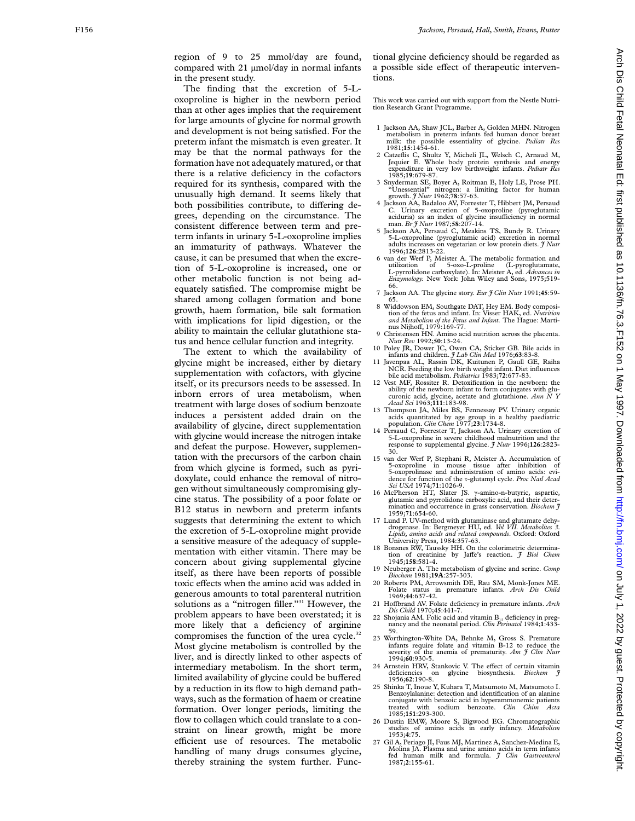region of 9 to 25 mmol/day are found, compared with 21  $\mu$ mol/day in normal infants in the present study.

The finding that the excretion of 5-Loxoproline is higher in the newborn period than at other ages implies that the requirement for large amounts of glycine for normal growth and development is not being satisfied. For the preterm infant the mismatch is even greater. It may be that the normal pathways for the formation have not adequately matured, or that there is a relative deficiency in the cofactors required for its synthesis, compared with the unusually high demand. It seems likely that both possibilities contribute, to differing degrees, depending on the circumstance. The consistent difference between term and preterm infants in urinary 5-L-oxoproline implies an immaturity of pathways. Whatever the cause, it can be presumed that when the excretion of 5-L-oxoproline is increased, one or other metabolic function is not being adequately satisfied. The compromise might be shared among collagen formation and bone growth, haem formation, bile salt formation with implications for lipid digestion, or the ability to maintain the cellular glutathione status and hence cellular function and integrity.

The extent to which the availability of glycine might be increased, either by dietary supplementation with cofactors, with glycine itself, or its precursors needs to be assessed. In inborn errors of urea metabolism, when treatment with large doses of sodium benzoate induces a persistent added drain on the availability of glycine, direct supplementation with glycine would increase the nitrogen intake and defeat the purpose. However, supplementation with the precursors of the carbon chain from which glycine is formed, such as pyridoxylate, could enhance the removal of nitrogen without simultaneously compromising glycine status. The possibility of a poor folate or B12 status in newborn and preterm infants suggests that determining the extent to which the excretion of 5-L-oxoproline might provide a sensitive measure of the adequacy of supplementation with either vitamin. There may be concern about giving supplemental glycine itself, as there have been reports of possible toxic effects when the amino acid was added in generous amounts to total parenteral nutrition solutions as a "nitrogen filler."<sup>31</sup> However, the problem appears to have been overstated; it is more likely that a deficiency of arginine compromises the function of the urea cycle.<sup>32</sup> Most glycine metabolism is controlled by the liver, and is directly linked to other aspects of intermediary metabolism. In the short term, limited availability of glycine could be buffered by a reduction in its flow to high demand pathways, such as the formation of haem or creatine formation. Over longer periods, limiting the flow to collagen which could translate to a constraint on linear growth, might be more efficient use of resources. The metabolic handling of many drugs consumes glycine, thereby straining the system further. Func-

tional glycine deficiency should be regarded as a possible side effect of therapeutic interventions.

This work was carried out with support from the Nestle Nutrition Research Grant Programme.

- 1 Jackson AA, Shaw JCL, Barber A, Golden MHN. Nitrogen metabolism in preterm infants fed human donor breast milk: the possible essentiality of glycine. *Pediatr Res* 1981;**15**:1454-61.
- 2 Catzeflis C, Shultz Y, Micheli JL, Welsch C, Arnaud M, Jequier E. Whole body protein synthesis and energy expenditure in very low birthweight infants. *Pediatr Res* 1985;**19**:679-87.
- 3 Snyderman SE, Boyer A, Roitman E, Holy LE, Prose PH. "Unessential" nitrogen: a limiting factor for human growth. *J Nutr* 1962;**78**:57-63.
- 4 Jackson AA, Badaloo AV, Forrester T, Hibbert JM, Persaud C. Urinary excretion of 5-oxoproline (pyroglutamic aciduria) as an index of glycine insufficiency in normal man. *Br J Nutr* 1987;**58**:207-14.
- 5 Jackson AA, Persaud C, Meakins TS, Bundy R. Urinary 5-L-oxoproline (pyroglutamic acid) excretion in normal adults increases on vegetarian or low protein diets. *J Nutr* 1996;**126**:2813-22.
- 6 van der Werf P, Meister A. The metabolic formation and utilization of 5-oxo-L-proline (L-pyroglutamate, L-pyrrolidone carboxylate). In: Meister A, ed. *Advances in Enzymology.* New York: John Wiley and Sons, 1975;519- 66.
- 7 Jackson AA. The glycine story. *Eur J Clin Nutr* 1991;**45**:59- 65.
- 8 Widdowson EM, Southgate DAT, Hey EM. Body composition of the fetus and infant. In: Visser HAK, ed. *Nutrition and Metabolism of the Fetus and Infant.* The Hague: Martinus Nijhoff, 1979:169-77.
- 9 Christensen HN. Amino acid nutrition across the placenta. *Nutr Rev* 1992;**50**:13-24.
- 10 Poley JR, Dower JC, Owen CA, Sticker GB. Bile acids in
- infants and children. *J Lab Clin Med* 1976;63:83-8.<br>11 Javenpaa AL, Rassin DK, Kuitunen P, Gaull GE, Raiha<br>NCR. Feeding the low birth weight infant. Diet influences<br>bile acid metabolism. *Pediatrics* 1983;72:677-83.
- 12 Vest MF, Rossiter R. Detoxification in the newborn: the ability of the newborn infant to form conjugates with glucuronic acid, glycine, acetate and glutathione. *Ann N Y Acad Sci* 1963;**111**:183-98.
- 13 Thompson JA, Miles BS, Fennessay PV. Urinary organic acids quantitated by age group in a healthy paediatric population. *Clin Chem* 1977;**23**:1734-8.
- 14 Persaud C, Forrester T, Jackson AA. Urinary excretion of 5-L-oxoproline in severe childhood malnutrition and the response to supplemental glycine. *J Nutr* 1996;**126**:2823- 30.
- 15 van der Werf P, Stephani R, Meister A. Accumulation of 5-oxoproline in mouse tissue after inhibition of 5-oxoprolinase and administration of amino acids: evidence for function of the ô-glutamyl cycle. *Proc Natl Acad Sci USA* 1974;**71**:1026-9.
- 16 McPherson HT, Slater JS. γ-amino-n-butyric, aspartic, glutamic and pyrrolidone carboxylic acid, and their deter-mination and occurrence in grass conservation. *Biochem J* 1959;**71**:654-60.
- 17 Lund P. UV-method with glutaminase and glutamate dehydrogenase. In: Bergmeyer HU, ed. *Vol VII. Metabolites 3. Lipids, amino acids and related compounds*. Oxford: Oxford University Press, 1984:357-63.
- 18 Bonsnes RW, Taussky HH. On the colorimetric determination of creatinine by Jaffe's reaction. *J Biol Chem* 1945;158:581-4.
- 19 Neuberger A. The metabolism of glycine and serine. *Comp Biochem* 1981;**19A**:257-303.
- 20 Roberts PM, Arrowsmith DE, Rau SM, Monk-Jones ME. Folate status in premature infants. *Arch Dis Child* 1969;**44**:637-42.
- 21 Hoffbrand AV. Folate deficiency in premature infants. Arch *Dis Child* 1970;**45**:441-7.
- 22 Shojania AM. Folic acid and vitamin B<sub>12</sub> deficiency in preg-<br>nancy and the neonatal period. *Clin Perinatol* 1984;**1**:433-<br>59.
- 23 Worthington-White DA, Behnke M, Gross S. Premature infants require folate and vitamin B-12 to reduce the severity of the anemia of prematurity. *Am J Clin Nutr* 1994;**60**:930-5.
- 24 Arnstein HRV, Stankovic V. The effect of certain vitamin deficiencies on glycine biosynthesis. *Biochem J* 1956;**62**:190-8.
- 25 Shinka T, Inoue Y, Kuhara T, Matsumoto M, Matsumoto I. Benzoylalanine: detection and identification of an alanine conjugate with benzoic acid in hyperammonemic patients treated with sodium benzoate. *Clin Chim Acta* 1985;**151**:293-300.
- 26 Dustin EMW, Moore S, Bigwood EG. Chromatographic studies of amino acids in early infancy. *Metabolism* 1953; **4**:75.
- 27 Gil A, Periago JI, Faus MJ, Martinez A, Sanchez-Medina E, Molina JA. Plasma and urine amino acids in term infants fed human milk and formula. *J Clin Gastroenterol* 1987; **2**:155-61.